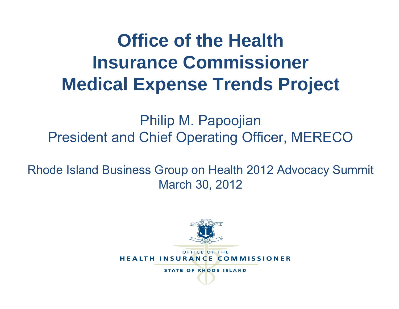# **Office of the Health Insurance Commissioner Medical Expense Trends Project**

Philip M. Papoojian President and Chief Operating Officer, MERECO

Rhode Island Business Group on Health 2012 Advocacy Summit March 30, 2012

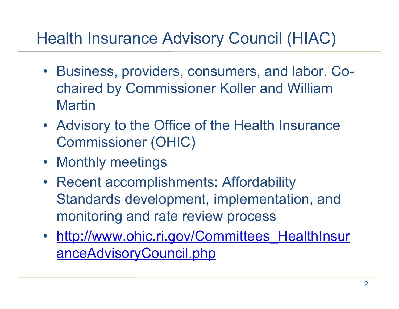## Health Insurance Advisory Council (HIAC)

- Business, providers, consumers, and labor. Cochaired by Commissioner Koller and William **Martin**
- Advisory to the Office of the Health Insurance Commissioner (OHIC)
- Monthly meetings
- Recent accomplishments: Affordability Standards development, implementation, and monitoring and rate review process
- http://www.ohic.ri.gov/Committees\_HealthInsur anceAdvisoryCouncil.php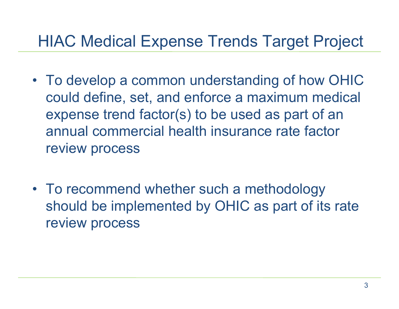## HIAC Medical Expense Trends Target Project

- To develop a common understanding of how OHIC could define, set, and enforce a maximum medical expense trend factor(s) to be used as part of an annual commercial health insurance rate factor review process
- To recommend whether such a methodology should be implemented by OHIC as part of its rate review process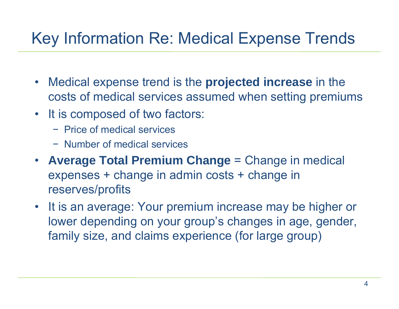# Key Information Re: Medical Expense Trends

- Medical expense trend is the **projected increase** in the costs of medical services assumed when setting premiums
- It is composed of two factors:
	- − Price of medical services
	- − Number of medical services
- **Average Total Premium Change** = Change in medical expenses + change in admin costs + change in reserves/profits
- •It is an average: Your premium increase may be higher or lower depending on your group's changes in age, gender, family size, and claims experience (for large group)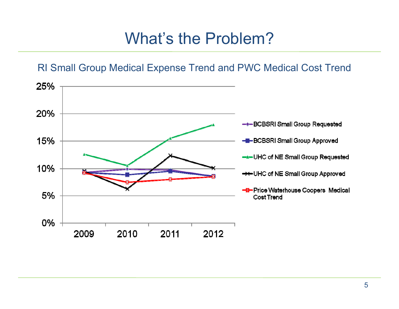#### What's the Problem?

#### RI Small Group Medical Expense Trend and PWC Medical Cost Trend

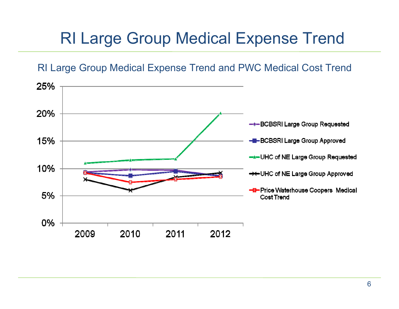## RI Large Group Medical Expense Trend

#### RI Large Group Medical Expense Trend and PWC Medical Cost Trend

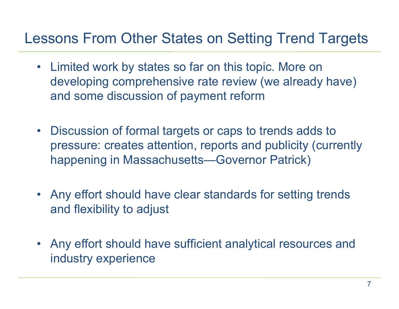#### Lessons From Other States on Setting Trend Targets

- Limited work by states so far on this topic. More on developing comprehensive rate review (we already have) and some discussion of payment reform
- $\bullet$  Discussion of formal targets or caps to trends adds to pressure: creates attention, reports and publicity (currently happening in Massachusetts—Governor Patrick)
- Any effort should have clear standards for setting trends and flexibility to adjust
- • Any effort should have sufficient analytical resources and industry experience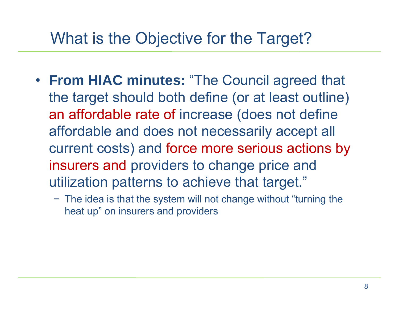#### What is the Objective for the Target?

- **From HIAC minutes:** "The Council agreed that the target should both define (or at least outline) an affordable rate of increase (does not define affordable and does not necessarily accept all current costs) and force more serious actions by insurers and providers to change price and utilization patterns to achieve that target."
	- − The idea is that the system will not change without "turning the heat up" on insurers and providers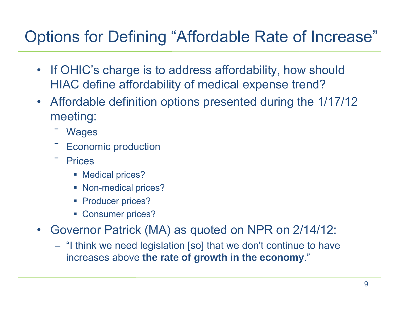## Options for Defining "Affordable Rate of Increase"

- • If OHIC's charge is to address affordability, how should HIAC define affordability of medical expense trend?
- $\bullet$  Affordable definition options presented during the 1/17/12 meeting:
	- **Wages**
	- $\overline{\phantom{a}}$ Economic production
	- **Prices** 
		- **Medical prices?**
		- Non-medical prices?
		- **Producer prices?**
		- Consumer prices?
- • Governor Patrick (MA) as quoted on NPR on 2/14/12:
	- "I think we need legislation [so] that we don't continue to have increases above **the rate of growth in the economy**."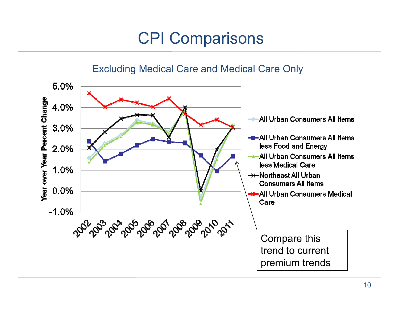## CPI Comparisons

#### Excluding Medical Care and Medical Care Only

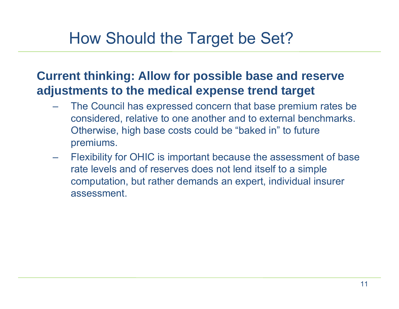#### How Should the Target be Set?

#### **Current thinking: Allow for possible base and reserve adjustments to the medical expense trend target**

- The Council has expressed concern that base premium rates be considered, relative to one another and to external benchmarks. Otherwise, high base costs could be "baked in" to future premiums.
- Flexibility for OHIC is important because the assessment of base rate levels and of reserves does not lend itself to a simple computation, but rather demands an expert, individual insurer assessment.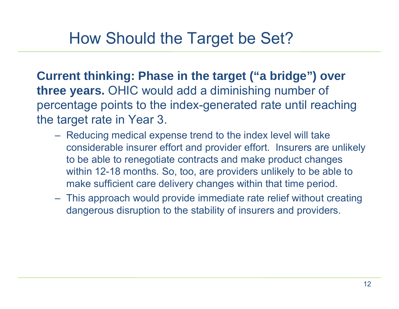#### How Should the Target be Set?

**Current thinking: Phase in the target ("a bridge") over three years.** OHIC would add a diminishing number of percentage points to the index-generated rate until reaching the target rate in Year 3.

- Reducing medical expense trend to the index level will take considerable insurer effort and provider effort. Insurers are unlikely to be able to renegotiate contracts and make product changes within 12-18 months. So, too, are providers unlikely to be able to make sufficient care delivery changes within that time period.
- This approach would provide immediate rate relief without creating dangerous disruption to the stability of insurers and providers.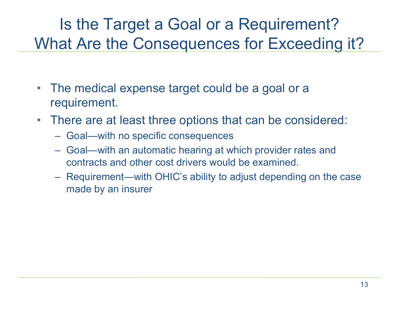#### Is the Target a Goal or a Requirement? What Are the Consequences for Exceeding it?

- • The medical expense target could be a goal or a requirement.
- $\bullet$  There are at least three options that can be considered:
	- Goal—with no specific consequences
	- Goal—with an automatic hearing at which provider rates and contracts and other cost drivers would be examined.
	- Requirement—with OHIC's ability to adjust depending on the case made by an insurer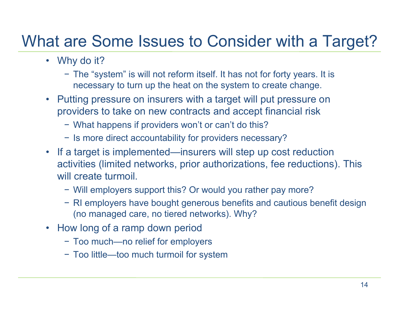#### What are Some Issues to Consider with a Target?

- Why do it?
	- − The "system" is will not reform itself. It has not for forty years. It is necessary to turn up the heat on the system to create change.
- Putting pressure on insurers with a target will put pressure on providers to take on new contracts and accept financial risk
	- − What happens if providers won't or can't do this?
	- − Is more direct accountability for providers necessary?
- If a target is implemented—insurers will step up cost reduction activities (limited networks, prior authorizations, fee reductions). This will create turmoil.
	- − Will employers support this? Or would you rather pay more?
	- − RI employers have bought generous benefits and cautious benefit design (no managed care, no tiered networks). Why?
- How long of a ramp down period
	- − Too much—no relief for employers
	- − Too little—too much turmoil for system